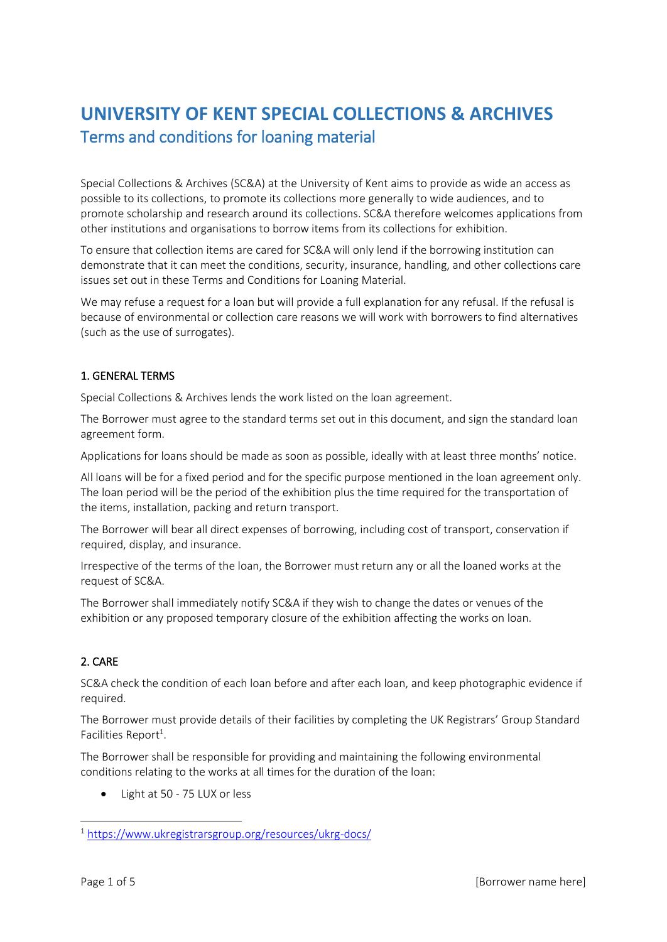# **UNIVERSITY OF KENT SPECIAL COLLECTIONS & ARCHIVES** Terms and conditions for loaning material

Special Collections & Archives (SC&A) at the University of Kent aims to provide as wide an access as possible to its collections, to promote its collections more generally to wide audiences, and to promote scholarship and research around its collections. SC&A therefore welcomes applications from other institutions and organisations to borrow items from its collections for exhibition.

To ensure that collection items are cared for SC&A will only lend if the borrowing institution can demonstrate that it can meet the conditions, security, insurance, handling, and other collections care issues set out in these Terms and Conditions for Loaning Material.

We may refuse a request for a loan but will provide a full explanation for any refusal. If the refusal is because of environmental or collection care reasons we will work with borrowers to find alternatives (such as the use of surrogates).

### 1. GENERAL TERMS

Special Collections & Archives lends the work listed on the loan agreement.

The Borrower must agree to the standard terms set out in this document, and sign the standard loan agreement form.

Applications for loans should be made as soon as possible, ideally with at least three months' notice.

All loans will be for a fixed period and for the specific purpose mentioned in the loan agreement only. The loan period will be the period of the exhibition plus the time required for the transportation of the items, installation, packing and return transport.

The Borrower will bear all direct expenses of borrowing, including cost of transport, conservation if required, display, and insurance.

Irrespective of the terms of the loan, the Borrower must return any or all the loaned works at the request of SC&A.

The Borrower shall immediately notify SC&A if they wish to change the dates or venues of the exhibition or any proposed temporary closure of the exhibition affecting the works on loan.

### 2. CARE

SC&A check the condition of each loan before and after each loan, and keep photographic evidence if required.

The Borrower must provide details of their facilities by completing the UK Registrars' Group Standard Facilities Report<sup>1</sup>.

The Borrower shall be responsible for providing and maintaining the following environmental conditions relating to the works at all times for the duration of the loan:

Light at 50 - 75 LUX or less

-

<sup>1</sup> <https://www.ukregistrarsgroup.org/resources/ukrg-docs/>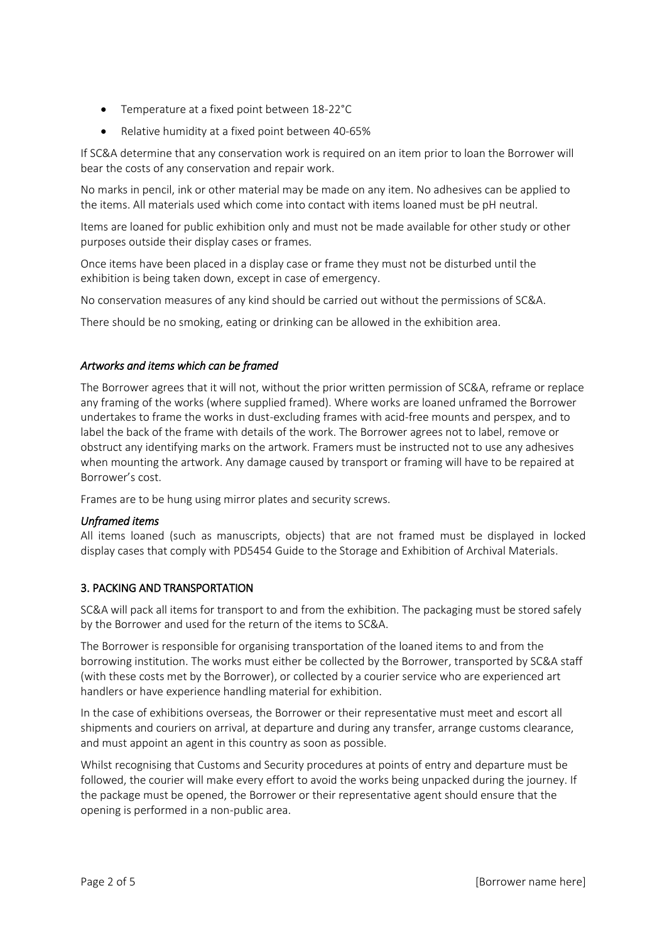- Temperature at a fixed point between 18-22°C
- Relative humidity at a fixed point between 40-65%

If SC&A determine that any conservation work is required on an item prior to loan the Borrower will bear the costs of any conservation and repair work.

No marks in pencil, ink or other material may be made on any item. No adhesives can be applied to the items. All materials used which come into contact with items loaned must be pH neutral.

Items are loaned for public exhibition only and must not be made available for other study or other purposes outside their display cases or frames.

Once items have been placed in a display case or frame they must not be disturbed until the exhibition is being taken down, except in case of emergency.

No conservation measures of any kind should be carried out without the permissions of SC&A.

There should be no smoking, eating or drinking can be allowed in the exhibition area.

### *Artworks and items which can be framed*

The Borrower agrees that it will not, without the prior written permission of SC&A, reframe or replace any framing of the works (where supplied framed). Where works are loaned unframed the Borrower undertakes to frame the works in dust-excluding frames with acid-free mounts and perspex, and to label the back of the frame with details of the work. The Borrower agrees not to label, remove or obstruct any identifying marks on the artwork. Framers must be instructed not to use any adhesives when mounting the artwork. Any damage caused by transport or framing will have to be repaired at Borrower's cost.

Frames are to be hung using mirror plates and security screws.

### *Unframed items*

All items loaned (such as manuscripts, objects) that are not framed must be displayed in locked display cases that comply with PD5454 Guide to the Storage and Exhibition of Archival Materials.

### 3. PACKING AND TRANSPORTATION

SC&A will pack all items for transport to and from the exhibition. The packaging must be stored safely by the Borrower and used for the return of the items to SC&A.

The Borrower is responsible for organising transportation of the loaned items to and from the borrowing institution. The works must either be collected by the Borrower, transported by SC&A staff (with these costs met by the Borrower), or collected by a courier service who are experienced art handlers or have experience handling material for exhibition.

In the case of exhibitions overseas, the Borrower or their representative must meet and escort all shipments and couriers on arrival, at departure and during any transfer, arrange customs clearance, and must appoint an agent in this country as soon as possible.

Whilst recognising that Customs and Security procedures at points of entry and departure must be followed, the courier will make every effort to avoid the works being unpacked during the journey. If the package must be opened, the Borrower or their representative agent should ensure that the opening is performed in a non-public area.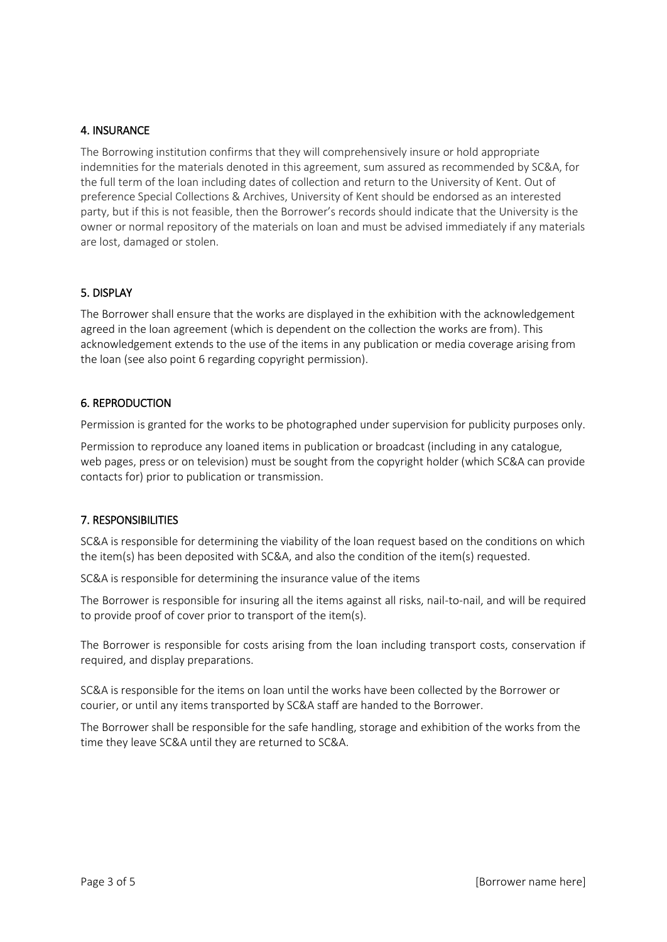#### 4. INSURANCE

The Borrowing institution confirms that they will comprehensively insure or hold appropriate indemnities for the materials denoted in this agreement, sum assured as recommended by SC&A, for the full term of the loan including dates of collection and return to the University of Kent. Out of preference Special Collections & Archives, University of Kent should be endorsed as an interested party, but if this is not feasible, then the Borrower's records should indicate that the University is the owner or normal repository of the materials on loan and must be advised immediately if any materials are lost, damaged or stolen.

#### 5. DISPLAY

The Borrower shall ensure that the works are displayed in the exhibition with the acknowledgement agreed in the loan agreement (which is dependent on the collection the works are from). This acknowledgement extends to the use of the items in any publication or media coverage arising from the loan (see also point 6 regarding copyright permission).

#### 6. REPRODUCTION

Permission is granted for the works to be photographed under supervision for publicity purposes only.

Permission to reproduce any loaned items in publication or broadcast (including in any catalogue, web pages, press or on television) must be sought from the copyright holder (which SC&A can provide contacts for) prior to publication or transmission.

### 7. RESPONSIBILITIES

SC&A is responsible for determining the viability of the loan request based on the conditions on which the item(s) has been deposited with SC&A, and also the condition of the item(s) requested.

SC&A is responsible for determining the insurance value of the items

The Borrower is responsible for insuring all the items against all risks, nail-to-nail, and will be required to provide proof of cover prior to transport of the item(s).

The Borrower is responsible for costs arising from the loan including transport costs, conservation if required, and display preparations.

SC&A is responsible for the items on loan until the works have been collected by the Borrower or courier, or until any items transported by SC&A staff are handed to the Borrower.

The Borrower shall be responsible for the safe handling, storage and exhibition of the works from the time they leave SC&A until they are returned to SC&A.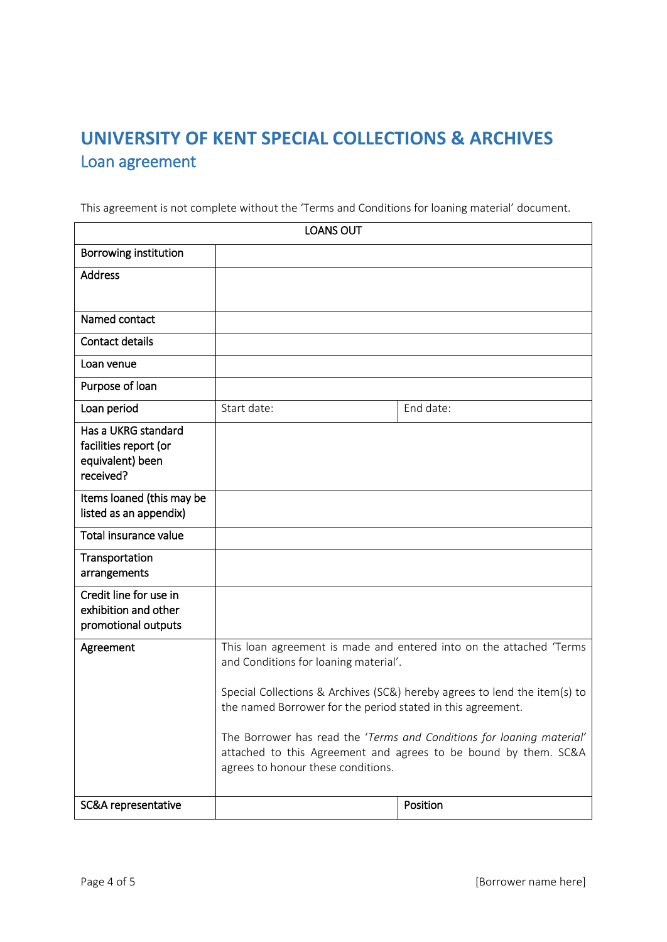# **UNIVERSITY OF KENT SPECIAL COLLECTIONS & ARCHIVES** Loan agreement

This agreement is not complete without the 'Terms and Conditions for loaning material' document.

| <b>LOANS OUT</b>                                                      |                                                                                                                                                                                                                                                          |           |
|-----------------------------------------------------------------------|----------------------------------------------------------------------------------------------------------------------------------------------------------------------------------------------------------------------------------------------------------|-----------|
| <b>Borrowing institution</b>                                          |                                                                                                                                                                                                                                                          |           |
| <b>Address</b>                                                        |                                                                                                                                                                                                                                                          |           |
|                                                                       |                                                                                                                                                                                                                                                          |           |
| Named contact                                                         |                                                                                                                                                                                                                                                          |           |
| Contact details                                                       |                                                                                                                                                                                                                                                          |           |
| Loan venue                                                            |                                                                                                                                                                                                                                                          |           |
| Purpose of loan                                                       |                                                                                                                                                                                                                                                          |           |
| Loan period                                                           | Start date:                                                                                                                                                                                                                                              | End date: |
| Has a UKRG standard<br>facilities report (or                          |                                                                                                                                                                                                                                                          |           |
| equivalent) been<br>received?                                         |                                                                                                                                                                                                                                                          |           |
| Items loaned (this may be<br>listed as an appendix)                   |                                                                                                                                                                                                                                                          |           |
| Total insurance value                                                 |                                                                                                                                                                                                                                                          |           |
| Transportation<br>arrangements                                        |                                                                                                                                                                                                                                                          |           |
| Credit line for use in<br>exhibition and other<br>promotional outputs |                                                                                                                                                                                                                                                          |           |
| Agreement                                                             | This loan agreement is made and entered into on the attached 'Terms<br>and Conditions for loaning material'.<br>Special Collections & Archives (SC&) hereby agrees to lend the item(s) to<br>the named Borrower for the period stated in this agreement. |           |
|                                                                       |                                                                                                                                                                                                                                                          |           |
|                                                                       | The Borrower has read the 'Terms and Conditions for loaning material'<br>attached to this Agreement and agrees to be bound by them. SC&A<br>agrees to honour these conditions.                                                                           |           |
| SC&A representative                                                   |                                                                                                                                                                                                                                                          | Position  |